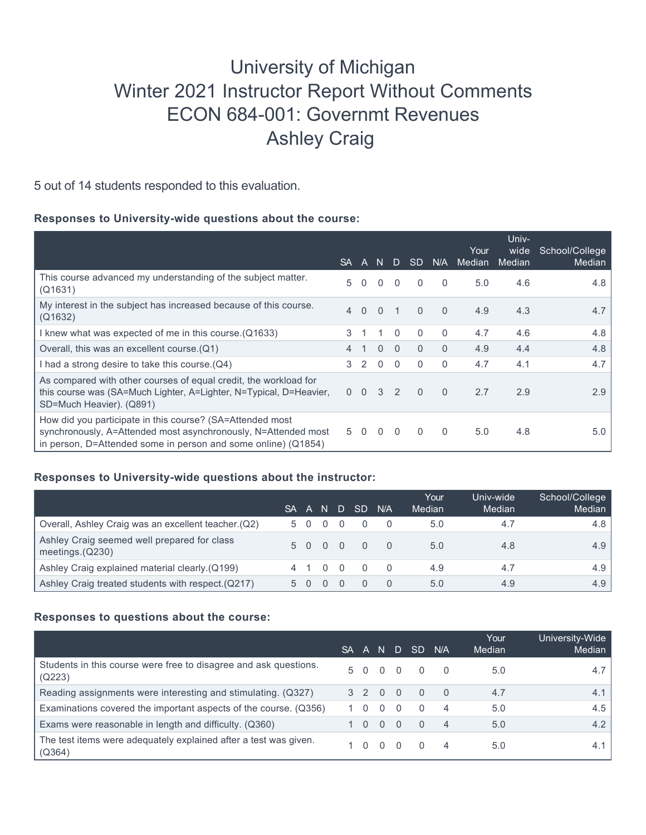# University of Michigan Winter 2021 Instructor Report Without Comments ECON 684-001: Governmt Revenues Ashley Craig

5 out of 14 students responded to this evaluation.

## **Responses to University-wide questions about the course:**

|                                                                                                                                                                                                | <b>SA</b>      | $\mathsf{A}$ |          | N D            | <b>SD</b>    | N/A          | Your<br>Median | Univ-<br>wide<br>Median | School/College<br>Median |
|------------------------------------------------------------------------------------------------------------------------------------------------------------------------------------------------|----------------|--------------|----------|----------------|--------------|--------------|----------------|-------------------------|--------------------------|
| This course advanced my understanding of the subject matter.<br>(Q1631)                                                                                                                        | 5.             | $\Omega$     | $\Omega$ | $\Omega$       | $\Omega$     | $\Omega$     | 5.0            | 4.6                     | 4.8                      |
| My interest in the subject has increased because of this course.<br>(Q1632)                                                                                                                    |                | 4 0          | $\Omega$ | $\overline{1}$ | $\mathbf{0}$ | $\Omega$     | 4.9            | 4.3                     | 4.7                      |
| I knew what was expected of me in this course. (Q1633)                                                                                                                                         | $\mathcal{S}$  |              |          | $\Omega$       | $\Omega$     | $\mathbf{0}$ | 4.7            | 4.6                     | 4.8                      |
| Overall, this was an excellent course.(Q1)                                                                                                                                                     | $\overline{4}$ |              | $\Omega$ | $\theta$       | $\Omega$     | $\Omega$     | 4.9            | 4.4                     | 4.8                      |
| I had a strong desire to take this course. (Q4)                                                                                                                                                | 3              | -2           | $\Omega$ | $\Omega$       | 0            | $\mathbf{0}$ | 4.7            | 4.1                     | 4.7                      |
| As compared with other courses of equal credit, the workload for<br>this course was (SA=Much Lighter, A=Lighter, N=Typical, D=Heavier,<br>SD=Much Heavier). (Q891)                             |                | $0\quad 0$   | 3        | 2              | $\Omega$     | $\Omega$     | 2.7            | 2.9                     | 2.9                      |
| How did you participate in this course? (SA=Attended most<br>synchronously, A=Attended most asynchronously, N=Attended most<br>in person, D=Attended some in person and some online) $(Q1854)$ | 5              | $\Omega$     | $\Omega$ | $\Omega$       | 0            | $\mathbf{0}$ | 5.0            | 4.8                     | 5.0                      |

#### **Responses to University-wide questions about the instructor:**

|                                                                   | SA. | ⊑A'         | N.         | D SD      | N/A         | Your<br>Median | Univ-wide<br>Median | School/College<br>Median |
|-------------------------------------------------------------------|-----|-------------|------------|-----------|-------------|----------------|---------------------|--------------------------|
| Overall, Ashley Craig was an excellent teacher. (Q2)              |     | 5 0         | $0\quad 0$ |           |             | 5.0            | 4.7                 | 4.8                      |
| Ashley Craig seemed well prepared for class<br>meetings. $(Q230)$ |     |             |            |           | 5 0 0 0 0 0 | 5.0            | 4.8                 | 4.9                      |
| Ashley Craig explained material clearly.(Q199)                    |     |             |            | 4 1 0 0 0 |             | 4.9            | 4.7                 | 4.9 <sup>°</sup>         |
| Ashley Craig treated students with respect. (Q217)                |     | $5 \quad 0$ |            |           |             | 5.0            | 4.9                 | 4.9 <sup>°</sup>         |

#### **Responses to questions about the course:**

|                                                                            | <b>SA</b> |              | A N      | D.             | <b>SD</b> | N/A            | Your<br>Median | University-Wide<br>Median |
|----------------------------------------------------------------------------|-----------|--------------|----------|----------------|-----------|----------------|----------------|---------------------------|
| Students in this course were free to disagree and ask questions.<br>(Q223) |           | $5 \Omega$   |          | 0 <sub>0</sub> | $\bigcap$ |                | 5.0            | 4.7 <sup>1</sup>          |
| Reading assignments were interesting and stimulating. (Q327)               |           |              | 3 2 0    | $\overline{0}$ | $\cap$    | - 0            | 4.7            | 4.1                       |
| Examinations covered the important aspects of the course. (Q356)           |           | 1 O          | 0        | $\Omega$       | $\Omega$  | 4              | 5.0            | 4.5                       |
| Exams were reasonable in length and difficulty. (Q360)                     |           | <sup>n</sup> | $\Omega$ | $\Omega$       | $\Omega$  | $\overline{4}$ | 5.0            | 4.2                       |
| The test items were adequately explained after a test was given.<br>(Q364) |           |              |          |                |           |                | 5.0            | 4.1                       |